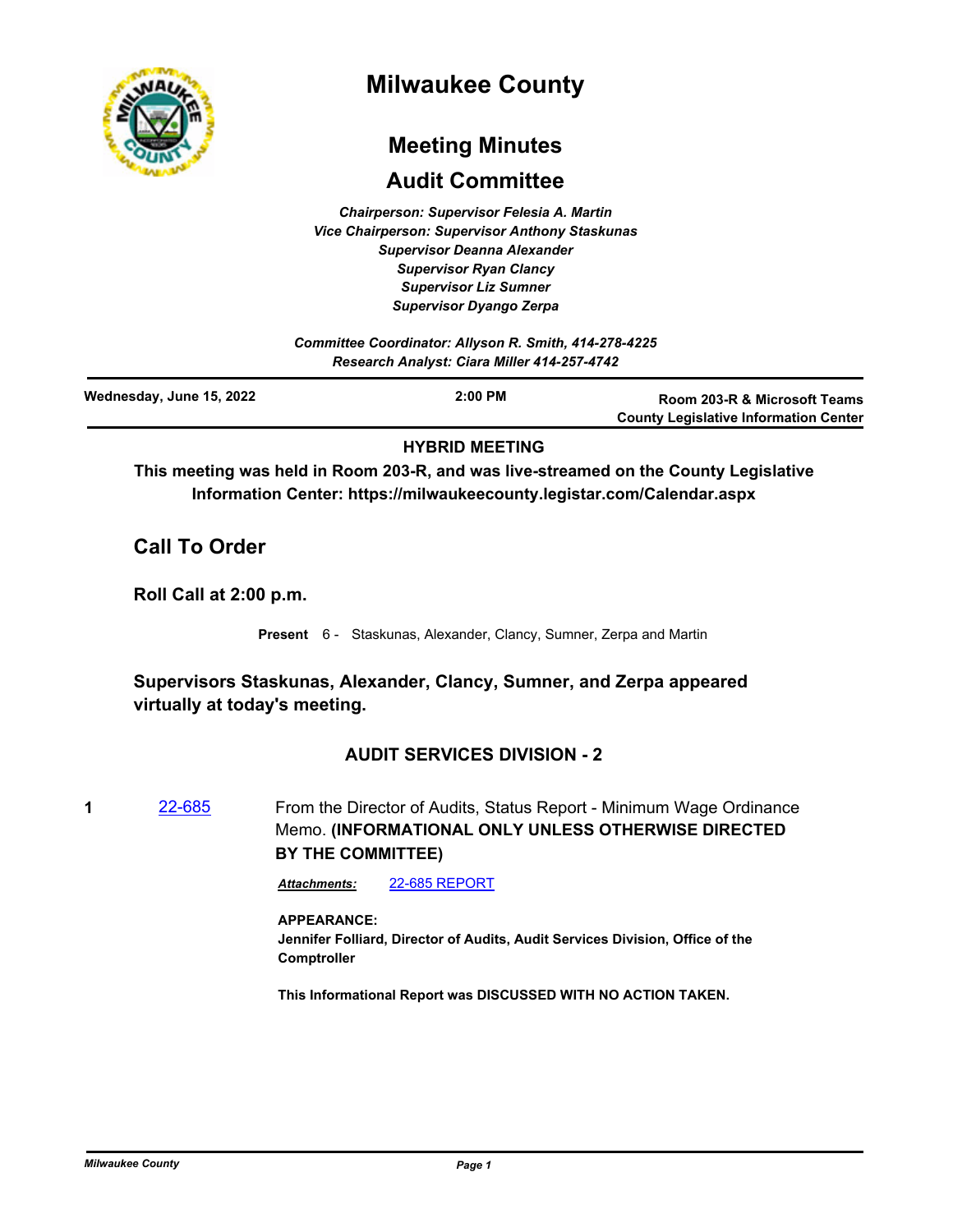

# **Milwaukee County**

# **Meeting Minutes**

## **Audit Committee**

*Chairperson: Supervisor Felesia A. Martin Vice Chairperson: Supervisor Anthony Staskunas Supervisor Deanna Alexander Supervisor Ryan Clancy Supervisor Liz Sumner Supervisor Dyango Zerpa*

*Committee Coordinator: Allyson R. Smith, 414-278-4225 Research Analyst: Ciara Miller 414-257-4742*

| Wednesday, June 15, 2022 | $2:00$ PM | Room 203-R & Microsoft Teams                 |
|--------------------------|-----------|----------------------------------------------|
|                          |           | <b>County Legislative Information Center</b> |
|                          |           |                                              |

### **HYBRID MEETING**

**This meeting was held in Room 203-R, and was live-streamed on the County Legislative Information Center: https://milwaukeecounty.legistar.com/Calendar.aspx**

## **Call To Order**

**Roll Call at 2:00 p.m.**

**Present** 6 - Staskunas, Alexander, Clancy, Sumner, Zerpa and Martin

## **Supervisors Staskunas, Alexander, Clancy, Sumner, and Zerpa appeared virtually at today's meeting.**

## **AUDIT SERVICES DIVISION - 2**

**1** [22-685](http://milwaukeecounty.legistar.com/gateway.aspx?m=l&id=/matter.aspx?key=12384) From the Director of Audits, Status Report - Minimum Wage Ordinance Memo. **(INFORMATIONAL ONLY UNLESS OTHERWISE DIRECTED BY THE COMMITTEE)** 

*Attachments:* [22-685 REPORT](http://MilwaukeeCounty.legistar.com/gateway.aspx?M=F&ID=f7dfda78-d9cd-44eb-8609-53d25dab4eb6.pdf)

### **APPEARANCE:**

**Jennifer Folliard, Director of Audits, Audit Services Division, Office of the Comptroller**

**This Informational Report was DISCUSSED WITH NO ACTION TAKEN.**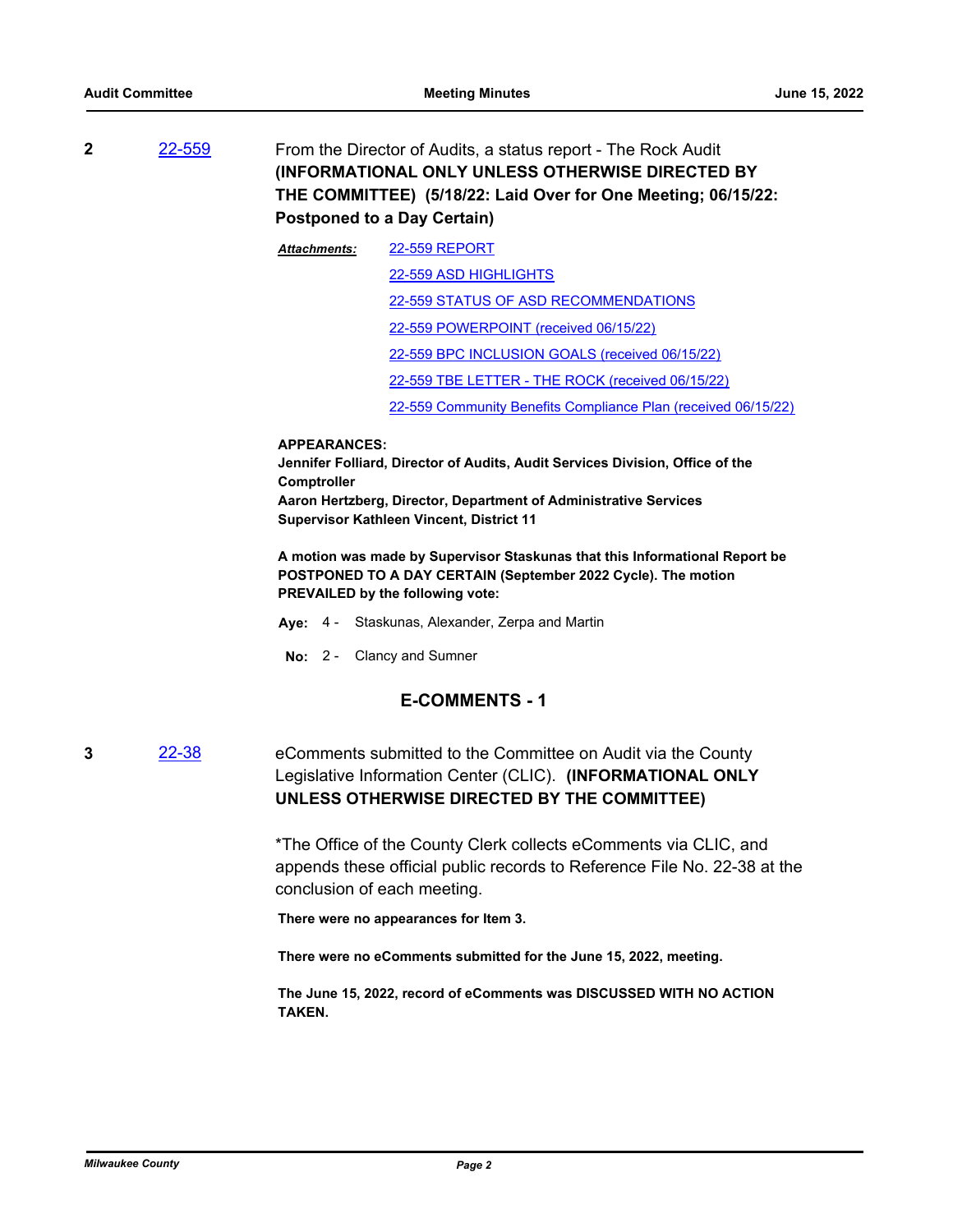**2** [22-559](http://milwaukeecounty.legistar.com/gateway.aspx?m=l&id=/matter.aspx?key=12219) From the Director of Audits, a status report - The Rock Audit **(INFORMATIONAL ONLY UNLESS OTHERWISE DIRECTED BY THE COMMITTEE) (5/18/22: Laid Over for One Meeting; 06/15/22: Postponed to a Day Certain)**

> [22-559 REPORT](http://MilwaukeeCounty.legistar.com/gateway.aspx?M=F&ID=746a744e-5042-4bd2-a7af-2958144a05ec.pdf) [22-559 ASD HIGHLIGHTS](http://MilwaukeeCounty.legistar.com/gateway.aspx?M=F&ID=86b7d9ff-1673-469a-9f99-4286f3819a35.pdf) [22-559 STATUS OF ASD RECOMMENDATIONS](http://MilwaukeeCounty.legistar.com/gateway.aspx?M=F&ID=ebf3c4b8-b267-4175-9b70-ceadbcae4900.pdf) [22-559 POWERPOINT \(received 06/15/22\)](http://MilwaukeeCounty.legistar.com/gateway.aspx?M=F&ID=e2ac1b56-5eed-4c72-b0e1-a625968988e0.pdf) [22-559 BPC INCLUSION GOALS \(received 06/15/22\)](http://MilwaukeeCounty.legistar.com/gateway.aspx?M=F&ID=baa53015-838b-4d04-b3de-7d796c76e91f.pdf) [22-559 TBE LETTER - THE ROCK \(received 06/15/22\)](http://MilwaukeeCounty.legistar.com/gateway.aspx?M=F&ID=d34e73bc-c9f5-4f1d-b9d3-64cc3dc41afe.pdf) [22-559 Community Benefits Compliance Plan \(received 06/15/22\)](http://MilwaukeeCounty.legistar.com/gateway.aspx?M=F&ID=f3f657b0-6b72-4130-8024-0a8fd7134615.pdf) *Attachments:*

#### **APPEARANCES:**

**Jennifer Folliard, Director of Audits, Audit Services Division, Office of the Comptroller Aaron Hertzberg, Director, Department of Administrative Services Supervisor Kathleen Vincent, District 11**

**A motion was made by Supervisor Staskunas that this Informational Report be POSTPONED TO A DAY CERTAIN (September 2022 Cycle). The motion PREVAILED by the following vote:**

- **Aye:** 4 Staskunas, Alexander, Zerpa and Martin
- **No:** 2 Clancy and Sumner

### **E-COMMENTS - 1**

**3** [22-38](http://milwaukeecounty.legistar.com/gateway.aspx?m=l&id=/matter.aspx?key=11860) eComments submitted to the Committee on Audit via the County Legislative Information Center (CLIC). **(INFORMATIONAL ONLY UNLESS OTHERWISE DIRECTED BY THE COMMITTEE)**

> \*The Office of the County Clerk collects eComments via CLIC, and appends these official public records to Reference File No. 22-38 at the conclusion of each meeting.

**There were no appearances for Item 3.** 

**There were no eComments submitted for the June 15, 2022, meeting.** 

**The June 15, 2022, record of eComments was DISCUSSED WITH NO ACTION TAKEN.**